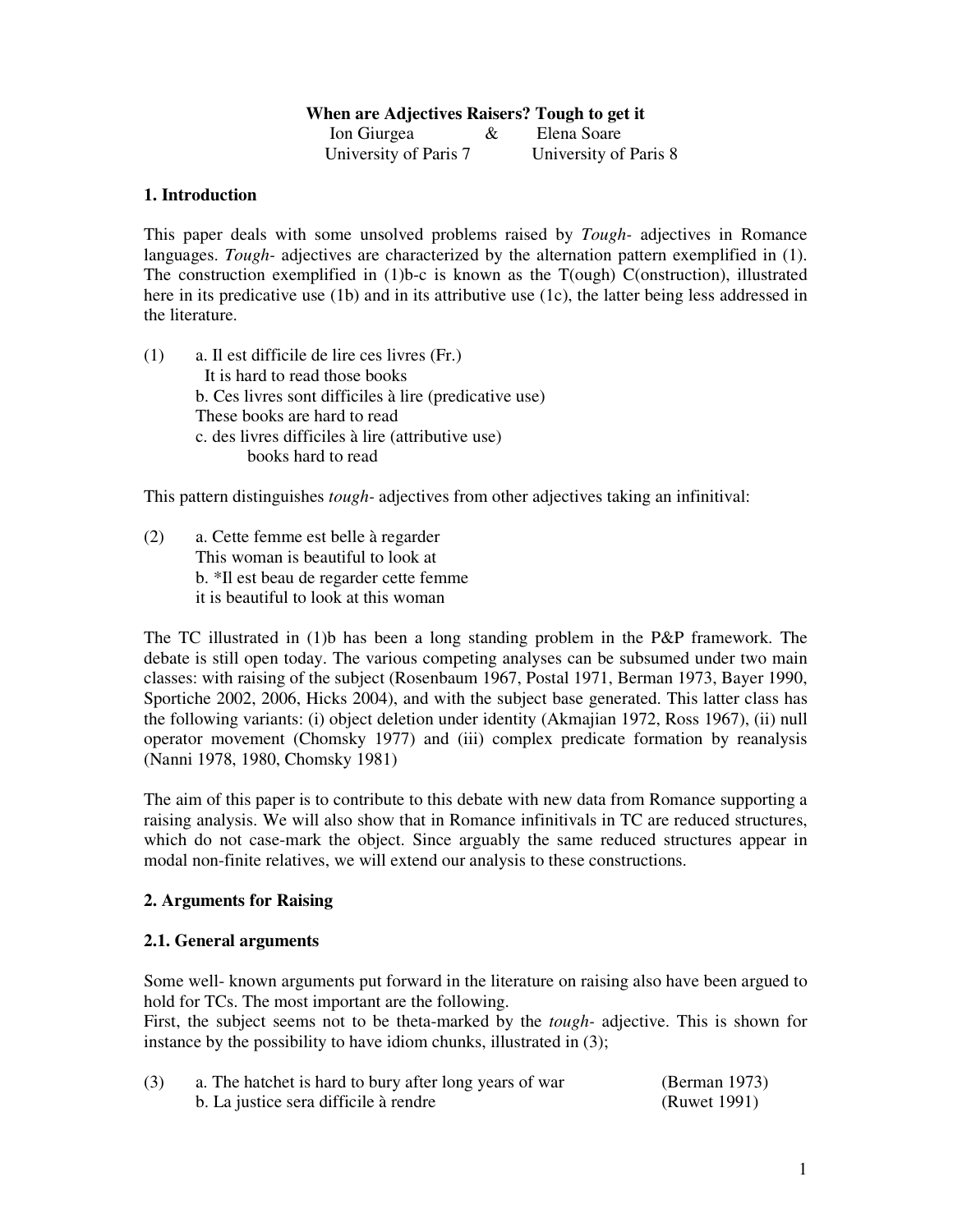# **When are Adjectives Raisers? Tough to get it**

| Ion Giurgea           | Elena Soare           |
|-----------------------|-----------------------|
| University of Paris 7 | University of Paris 8 |

# **1. Introduction**

This paper deals with some unsolved problems raised by *Tough-* adjectives in Romance languages. *Tough-* adjectives are characterized by the alternation pattern exemplified in (1). The construction exemplified in (1)b-c is known as the T(ough) C(onstruction), illustrated here in its predicative use (1b) and in its attributive use (1c), the latter being less addressed in the literature.

(1) a. Il est difficile de lire ces livres (Fr.) It is hard to read those books b. Ces livres sont difficiles à lire (predicative use) These books are hard to read c. des livres difficiles à lire (attributive use) books hard to read

This pattern distinguishes *tough-* adjectives from other adjectives taking an infinitival:

(2) a. Cette femme est belle à regarder This woman is beautiful to look at b. \*Il est beau de regarder cette femme it is beautiful to look at this woman

The TC illustrated in (1)b has been a long standing problem in the P&P framework. The debate is still open today. The various competing analyses can be subsumed under two main classes: with raising of the subject (Rosenbaum 1967, Postal 1971, Berman 1973, Bayer 1990, Sportiche 2002, 2006, Hicks 2004), and with the subject base generated. This latter class has the following variants: (i) object deletion under identity (Akmajian 1972, Ross 1967), (ii) null operator movement (Chomsky 1977) and (iii) complex predicate formation by reanalysis (Nanni 1978, 1980, Chomsky 1981)

The aim of this paper is to contribute to this debate with new data from Romance supporting a raising analysis. We will also show that in Romance infinitivals in TC are reduced structures, which do not case-mark the object. Since arguably the same reduced structures appear in modal non-finite relatives, we will extend our analysis to these constructions.

# **2. Arguments for Raising**

# **2.1. General arguments**

Some well- known arguments put forward in the literature on raising also have been argued to hold for TCs. The most important are the following.

First, the subject seems not to be theta-marked by the *tough-* adjective. This is shown for instance by the possibility to have idiom chunks, illustrated in (3);

| (3) | a. The hatchet is hard to bury after long years of war | (Berman 1973) |
|-----|--------------------------------------------------------|---------------|
|     | b. La justice sera difficile à rendre                  | (Ruwet 1991)  |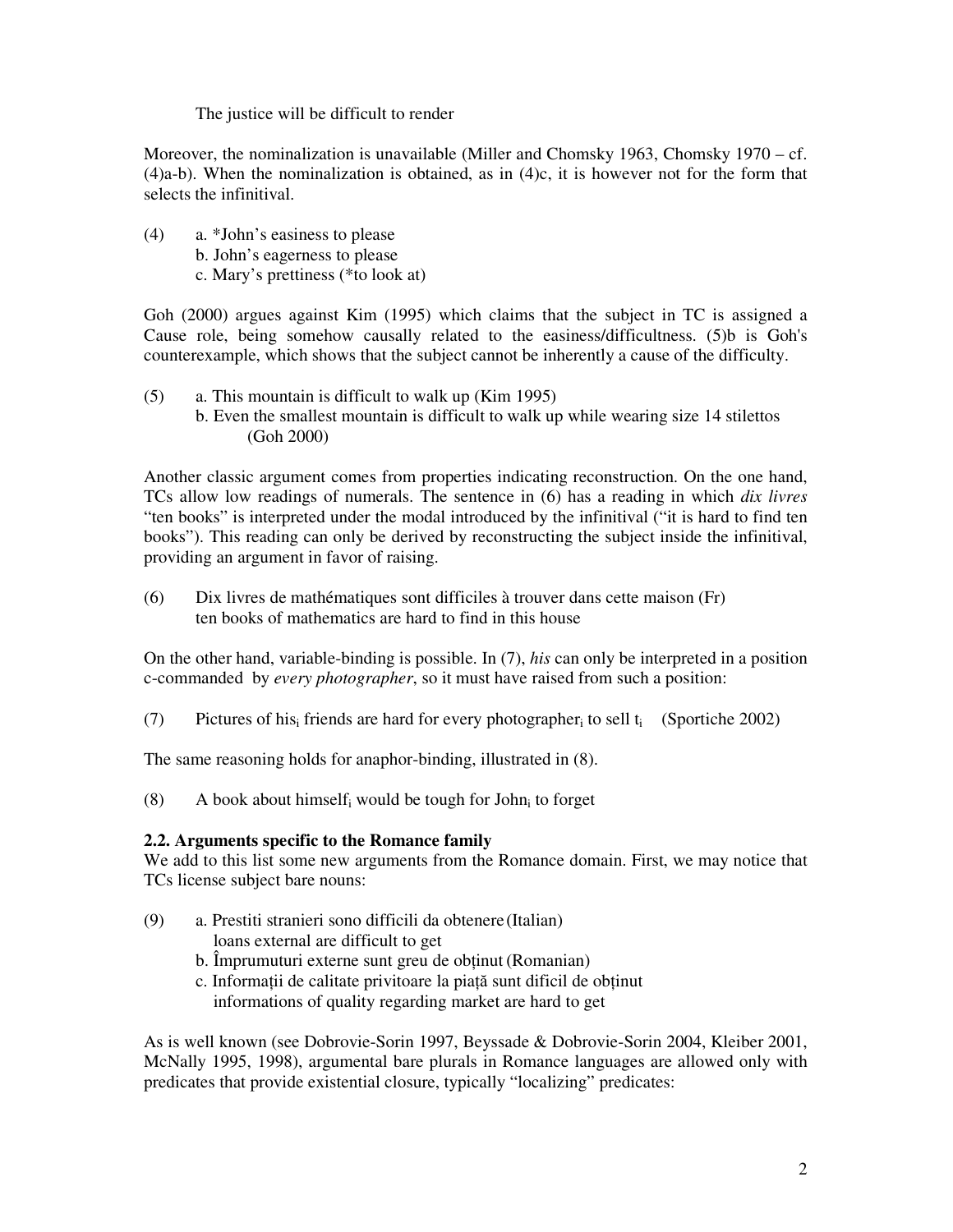# The justice will be difficult to render

Moreover, the nominalization is unavailable (Miller and Chomsky 1963, Chomsky 1970 – cf.  $(4)a-b$ ). When the nominalization is obtained, as in  $(4)c$ , it is however not for the form that selects the infinitival.

(4) a. \*John's easiness to please b. John's eagerness to please c. Mary's prettiness (\*to look at)

Goh (2000) argues against Kim (1995) which claims that the subject in TC is assigned a Cause role, being somehow causally related to the easiness/difficultness. (5)b is Goh's counterexample, which shows that the subject cannot be inherently a cause of the difficulty.

- (5) a. This mountain is difficult to walk up (Kim 1995)
	- b. Even the smallest mountain is difficult to walk up while wearing size 14 stilettos (Goh 2000)

Another classic argument comes from properties indicating reconstruction. On the one hand, TCs allow low readings of numerals. The sentence in (6) has a reading in which *dix livres*  "ten books" is interpreted under the modal introduced by the infinitival ("it is hard to find ten books"). This reading can only be derived by reconstructing the subject inside the infinitival, providing an argument in favor of raising.

(6) Dix livres de mathématiques sont difficiles à trouver dans cette maison (Fr) ten books of mathematics are hard to find in this house

On the other hand, variable-binding is possible. In (7), *his* can only be interpreted in a position c-commanded by *every photographer*, so it must have raised from such a position:

(7) Pictures of his<sub>i</sub> friends are hard for every photographer<sub>i</sub> to sell  $t_i$  (Sportiche 2002)

The same reasoning holds for anaphor-binding, illustrated in (8).

(8) A book about himself<sub>i</sub> would be tough for John<sub>i</sub> to forget

# **2.2. Arguments specific to the Romance family**

We add to this list some new arguments from the Romance domain. First, we may notice that TCs license subject bare nouns:

- (9) a. Prestiti stranieri sono difficili da obtenere (Italian)
	- loans external are difficult to get
	- b. Împrumuturi externe sunt greu de obtinut (Romanian)
	- c. Informaţii de calitate privitoare la piaţă sunt dificil de obţinut informations of quality regarding market are hard to get

As is well known (see Dobrovie-Sorin 1997, Beyssade & Dobrovie-Sorin 2004, Kleiber 2001, McNally 1995, 1998), argumental bare plurals in Romance languages are allowed only with predicates that provide existential closure, typically "localizing" predicates: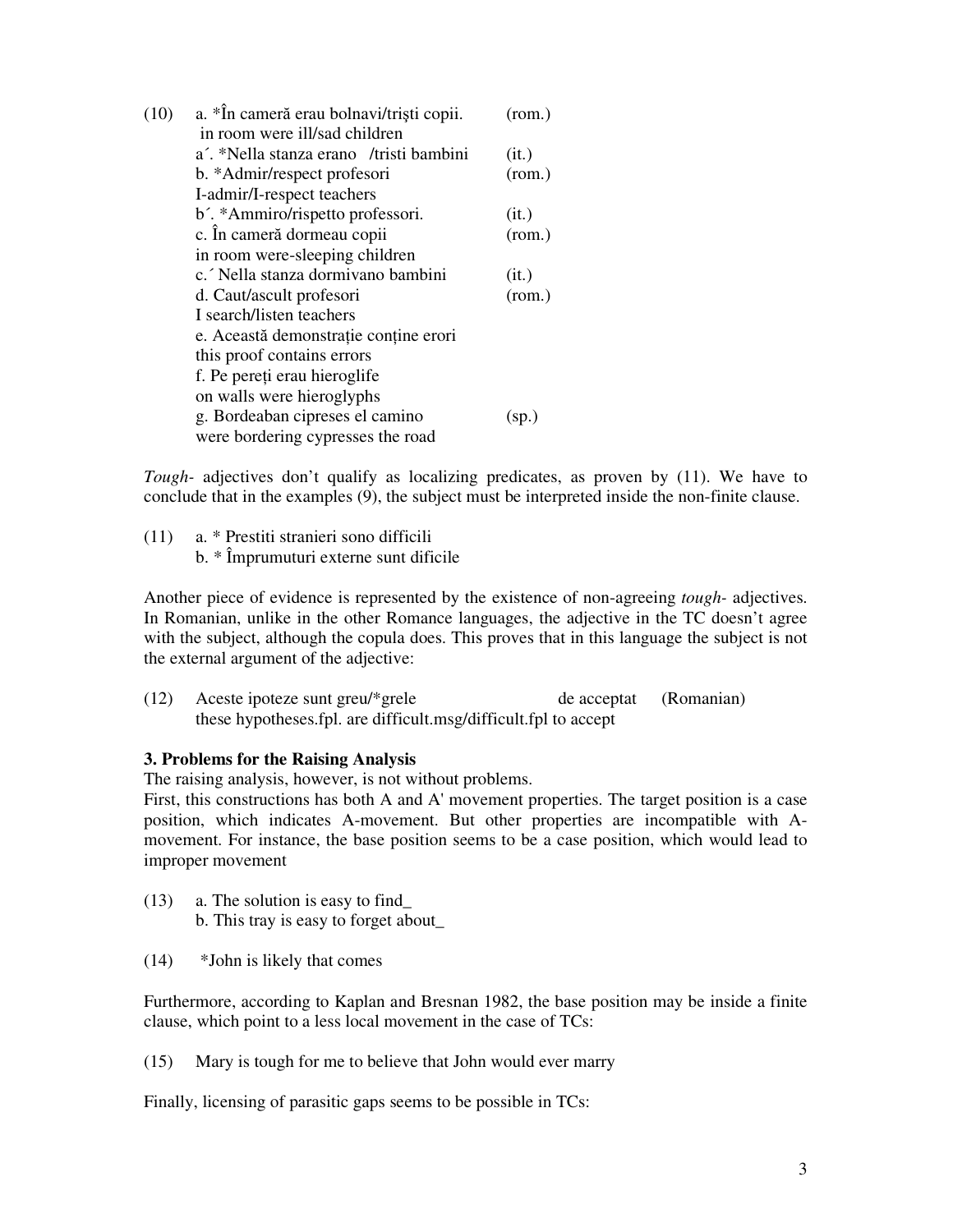| (10) | a. *În cameră erau bolnavi/triști copii. | (rom.) |
|------|------------------------------------------|--------|
|      | in room were ill/sad children            |        |
|      | a'. *Nella stanza erano /tristi bambini  | (it.)  |
|      | b. *Admir/respect profesori              | (rom.) |
|      | I-admir/I-respect teachers               |        |
|      | b'. *Ammiro/rispetto professori.         | (it.)  |
|      | c. În cameră dormeau copii               | (rom.) |
|      | in room were-sleeping children           |        |
|      | c. Nella stanza dormivano bambini        | (it.)  |
|      | d. Caut/ascult profesori                 | (rom.) |
|      | I search/listen teachers                 |        |
|      | e. Această demonstrație conține erori    |        |
|      | this proof contains errors               |        |
|      | f. Pe pereți erau hieroglife             |        |
|      | on walls were hieroglyphs                |        |
|      | g. Bordeaban cipreses el camino          | (sp.)  |
|      | were bordering cypresses the road        |        |
|      |                                          |        |

*Tough-* adjectives don't qualify as localizing predicates, as proven by (11). We have to conclude that in the examples (9), the subject must be interpreted inside the non-finite clause.

(11) a. \* Prestiti stranieri sono difficili b. \* Împrumuturi externe sunt dificile

Another piece of evidence is represented by the existence of non-agreeing *tough-* adjectives. In Romanian, unlike in the other Romance languages, the adjective in the TC doesn't agree with the subject, although the copula does. This proves that in this language the subject is not the external argument of the adjective:

(12) Aceste ipoteze sunt greu/\*grele de acceptat (Romanian) these hypotheses.fpl. are difficult.msg/difficult.fpl to accept

# **3. Problems for the Raising Analysis**

The raising analysis, however, is not without problems.

First, this constructions has both A and A' movement properties. The target position is a case position, which indicates A-movement. But other properties are incompatible with Amovement. For instance, the base position seems to be a case position, which would lead to improper movement

- (13) a. The solution is easy to find\_ b. This tray is easy to forget about**\_**
- (14) \*John is likely that comes

Furthermore, according to Kaplan and Bresnan 1982, the base position may be inside a finite clause, which point to a less local movement in the case of TCs:

(15) Mary is tough for me to believe that John would ever marry

Finally, licensing of parasitic gaps seems to be possible in TCs: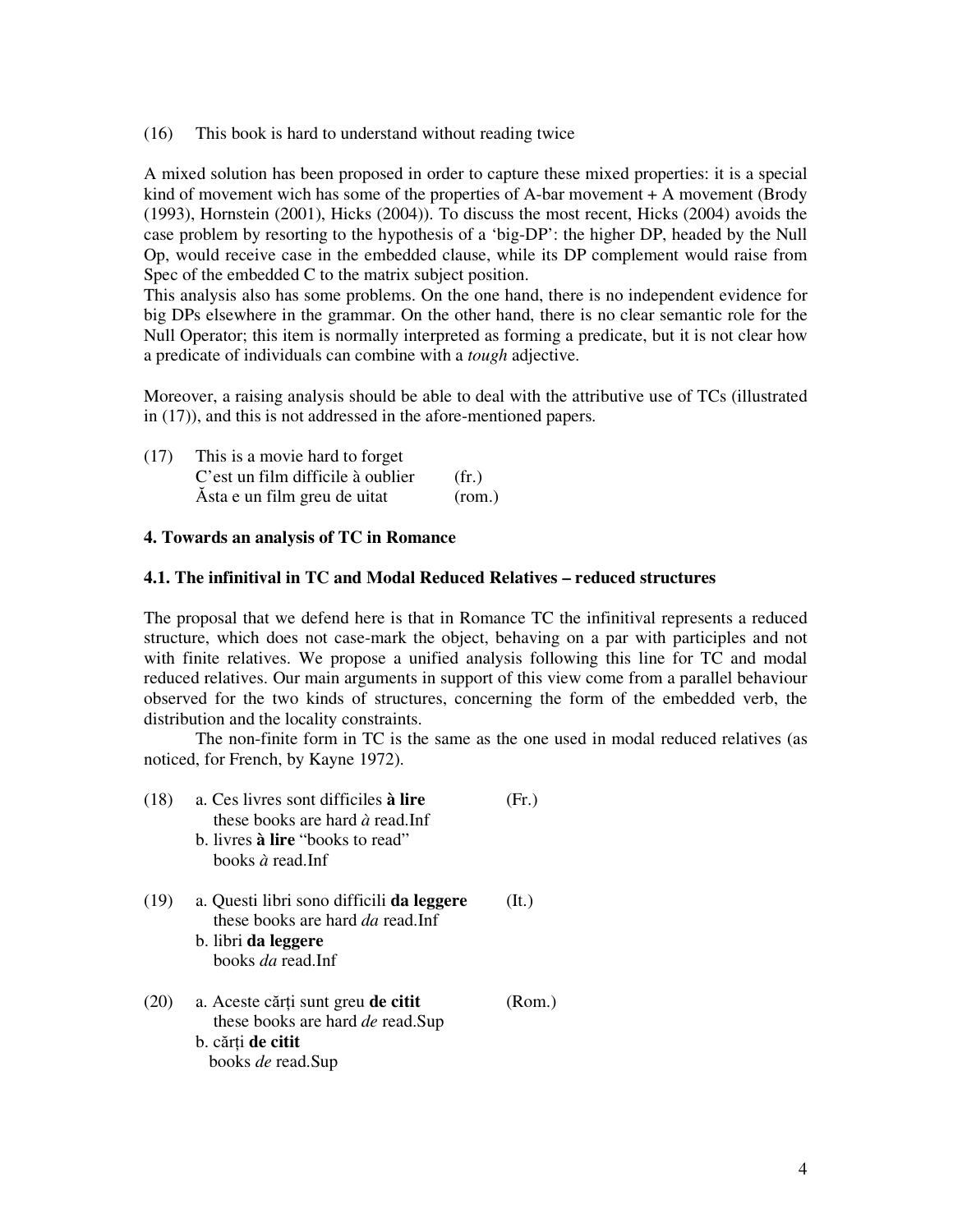(16) This book is hard to understand without reading twice

A mixed solution has been proposed in order to capture these mixed properties: it is a special kind of movement wich has some of the properties of  $A$ -bar movement  $+A$  movement (Brody (1993), Hornstein (2001), Hicks (2004)). To discuss the most recent, Hicks (2004) avoids the case problem by resorting to the hypothesis of a 'big-DP': the higher DP, headed by the Null Op, would receive case in the embedded clause, while its DP complement would raise from Spec of the embedded C to the matrix subject position.

This analysis also has some problems. On the one hand, there is no independent evidence for big DPs elsewhere in the grammar. On the other hand, there is no clear semantic role for the Null Operator; this item is normally interpreted as forming a predicate, but it is not clear how a predicate of individuals can combine with a *tough* adjective.

Moreover, a raising analysis should be able to deal with the attributive use of TCs (illustrated in (17)), and this is not addressed in the afore-mentioned papers.

| (17) | This is a movie hard to forget    |        |
|------|-----------------------------------|--------|
|      | C'est un film difficile à oublier | (fr)   |
|      | Asta e un film greu de uitat      | (rom.) |

### **4. Towards an analysis of TC in Romance**

### **4.1. The infinitival in TC and Modal Reduced Relatives – reduced structures**

The proposal that we defend here is that in Romance TC the infinitival represents a reduced structure, which does not case-mark the object, behaving on a par with participles and not with finite relatives. We propose a unified analysis following this line for TC and modal reduced relatives. Our main arguments in support of this view come from a parallel behaviour observed for the two kinds of structures, concerning the form of the embedded verb, the distribution and the locality constraints.

The non-finite form in TC is the same as the one used in modal reduced relatives (as noticed, for French, by Kayne 1972).

| (18) | a. Ces livres sont difficiles à lire<br>these books are hard $\hat{a}$ read. Inf<br>b. livres <b>à lire</b> "books to read"<br>books $\hat{a}$ read. Inf | Fr.)   |
|------|----------------------------------------------------------------------------------------------------------------------------------------------------------|--------|
| (19) | a. Questi libri sono difficili <b>da leggere</b><br>these books are hard <i>da</i> read.Inf<br>b. libri <b>da leggere</b><br>books <i>da</i> read Inf    | (It.)  |
| (20) | a. Aceste cărți sunt greu de citit<br>these books are hard <i>de</i> read.Sup<br>b. cărți de citit<br>books <i>de</i> read.Sup                           | (Rom.) |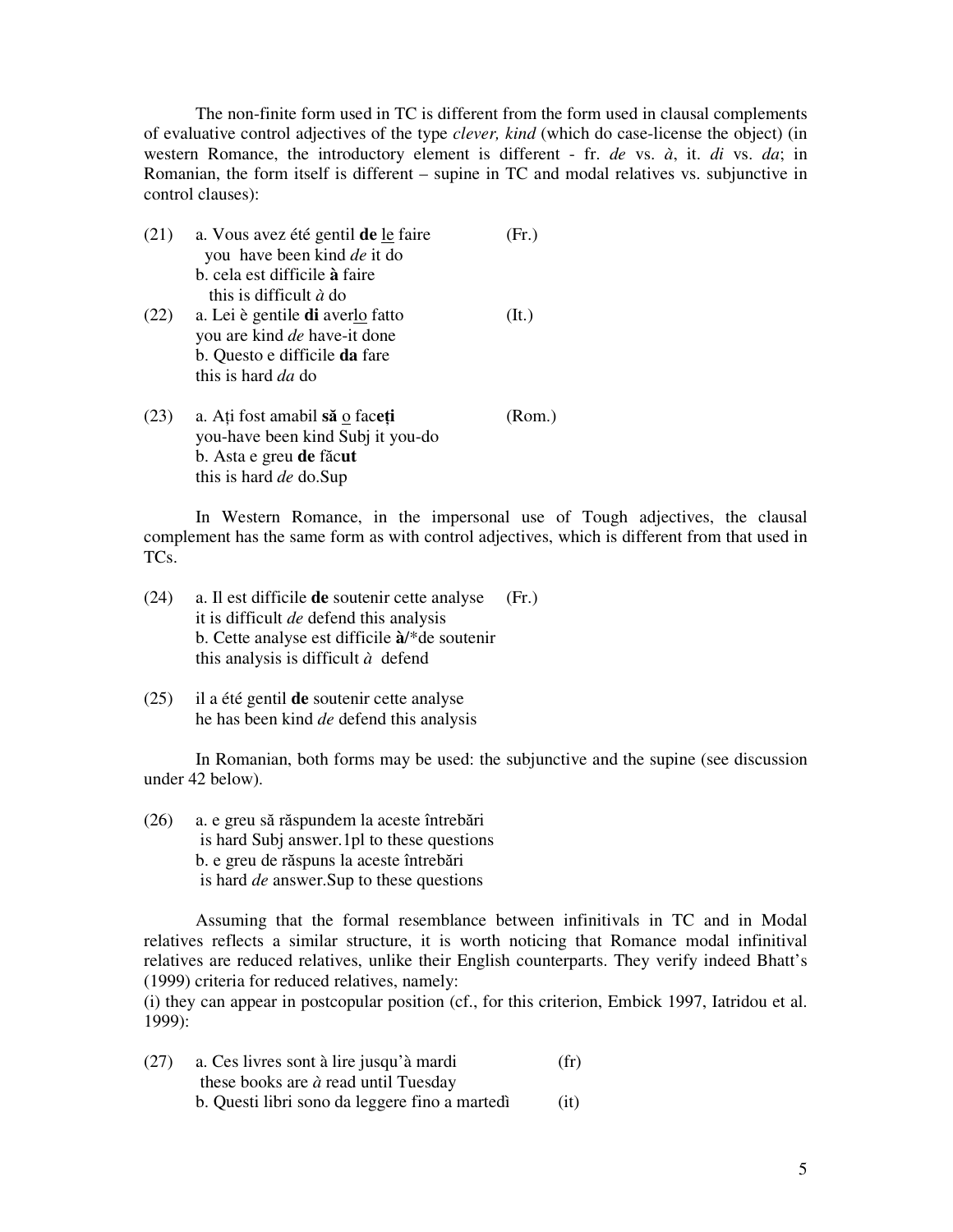The non-finite form used in TC is different from the form used in clausal complements of evaluative control adjectives of the type *clever, kind* (which do case-license the object) (in western Romance, the introductory element is different - fr. *de* vs. *à*, it. *di* vs. *da*; in Romanian, the form itself is different – supine in TC and modal relatives vs. subjunctive in control clauses):

| (21) | a. Vous avez été gentil de le faire<br>you have been kind <i>de</i> it do | Fr.)   |
|------|---------------------------------------------------------------------------|--------|
|      | b. cela est difficile à faire                                             |        |
|      | this is difficult $\dot{a}$ do                                            |        |
| (22) | a. Lei è gentile <b>di</b> averlo fatto                                   | (It.)  |
|      | you are kind de have-it done                                              |        |
|      | b. Questo e difficile da fare                                             |        |
|      | this is hard <i>da</i> do                                                 |        |
| (23) | a. Ați fost amabil să o faceți                                            | (Rom.) |
|      | you-have been kind Subj it you-do                                         |        |
|      | b. Asta e greu de făcut                                                   |        |
|      | this is hard <i>de</i> do.Sup                                             |        |

In Western Romance, in the impersonal use of Tough adjectives, the clausal complement has the same form as with control adjectives, which is different from that used in TCs.

- (24) a. Il est difficile **de** soutenir cette analyse (Fr.) it is difficult *de* defend this analysis b. Cette analyse est difficile **à**/\*de soutenir this analysis is difficult *à* defend
- (25) il a été gentil **de** soutenir cette analyse he has been kind *de* defend this analysis

In Romanian, both forms may be used: the subjunctive and the supine (see discussion under 42 below).

(26) a. e greu să răspundem la aceste întrebări is hard Subj answer.1pl to these questions b. e greu de răspuns la aceste întrebări is hard *de* answer.Sup to these questions

Assuming that the formal resemblance between infinitivals in TC and in Modal relatives reflects a similar structure, it is worth noticing that Romance modal infinitival relatives are reduced relatives, unlike their English counterparts. They verify indeed Bhatt's (1999) criteria for reduced relatives, namely:

(i) they can appear in postcopular position (cf., for this criterion, Embick 1997, Iatridou et al. 1999):

| (27) | a. Ces livres sont à lire jusqu'à mardi        | (fr) |
|------|------------------------------------------------|------|
|      | these books are $\dot{a}$ read until Tuesday   |      |
|      | b. Questi libri sono da leggere fino a martedì | (it) |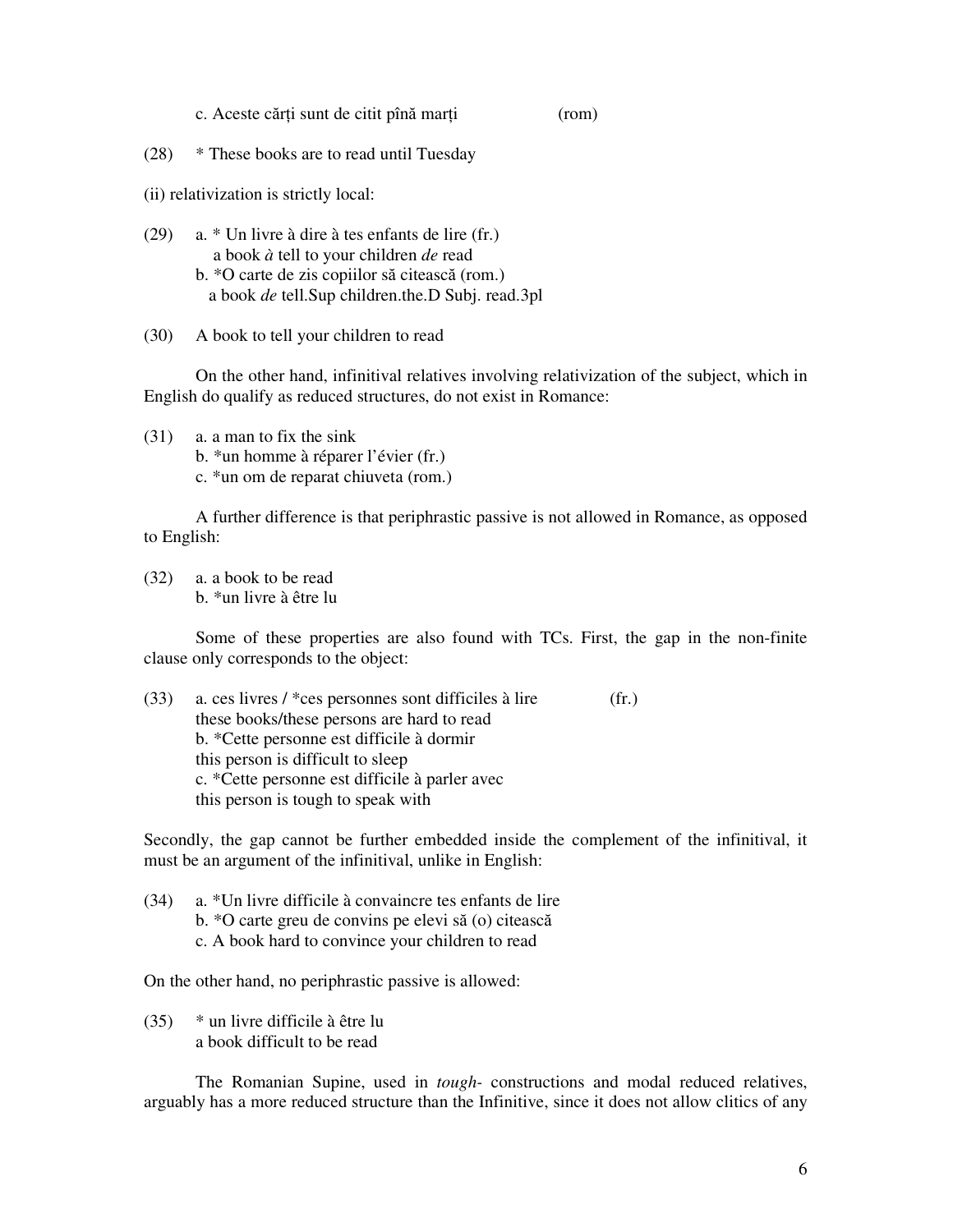- c. Aceste cărţi sunt de citit pînă marţi (rom)
- (28) \* These books are to read until Tuesday

(ii) relativization is strictly local:

- (29) a. \* Un livre à dire à tes enfants de lire (fr.) a book *à* tell to your children *de* read b. \*O carte de zis copiilor să citească (rom.) a book *de* tell.Sup children.the.D Subj. read.3pl
- (30) A book to tell your children to read

On the other hand, infinitival relatives involving relativization of the subject, which in English do qualify as reduced structures, do not exist in Romance:

- (31) a. a man to fix the sink
	- b. \*un homme à réparer l'évier (fr.)
	- c. \*un om de reparat chiuveta (rom.)

A further difference is that periphrastic passive is not allowed in Romance, as opposed to English:

(32) a. a book to be read b. \*un livre à être lu

Some of these properties are also found with TCs. First, the gap in the non-finite clause only corresponds to the object:

(33) a. ces livres / \*ces personnes sont difficiles à lire  $(fr.)$  these books/these persons are hard to read b. \*Cette personne est difficile à dormir this person is difficult to sleep c. \*Cette personne est difficile à parler avec this person is tough to speak with

Secondly, the gap cannot be further embedded inside the complement of the infinitival, it must be an argument of the infinitival, unlike in English:

(34) a. \*Un livre difficile à convaincre tes enfants de lire b. \*O carte greu de convins pe elevi să (o) citească c. A book hard to convince your children to read

On the other hand, no periphrastic passive is allowed:

(35) \* un livre difficile à être lu a book difficult to be read

The Romanian Supine, used in *tough-* constructions and modal reduced relatives, arguably has a more reduced structure than the Infinitive, since it does not allow clitics of any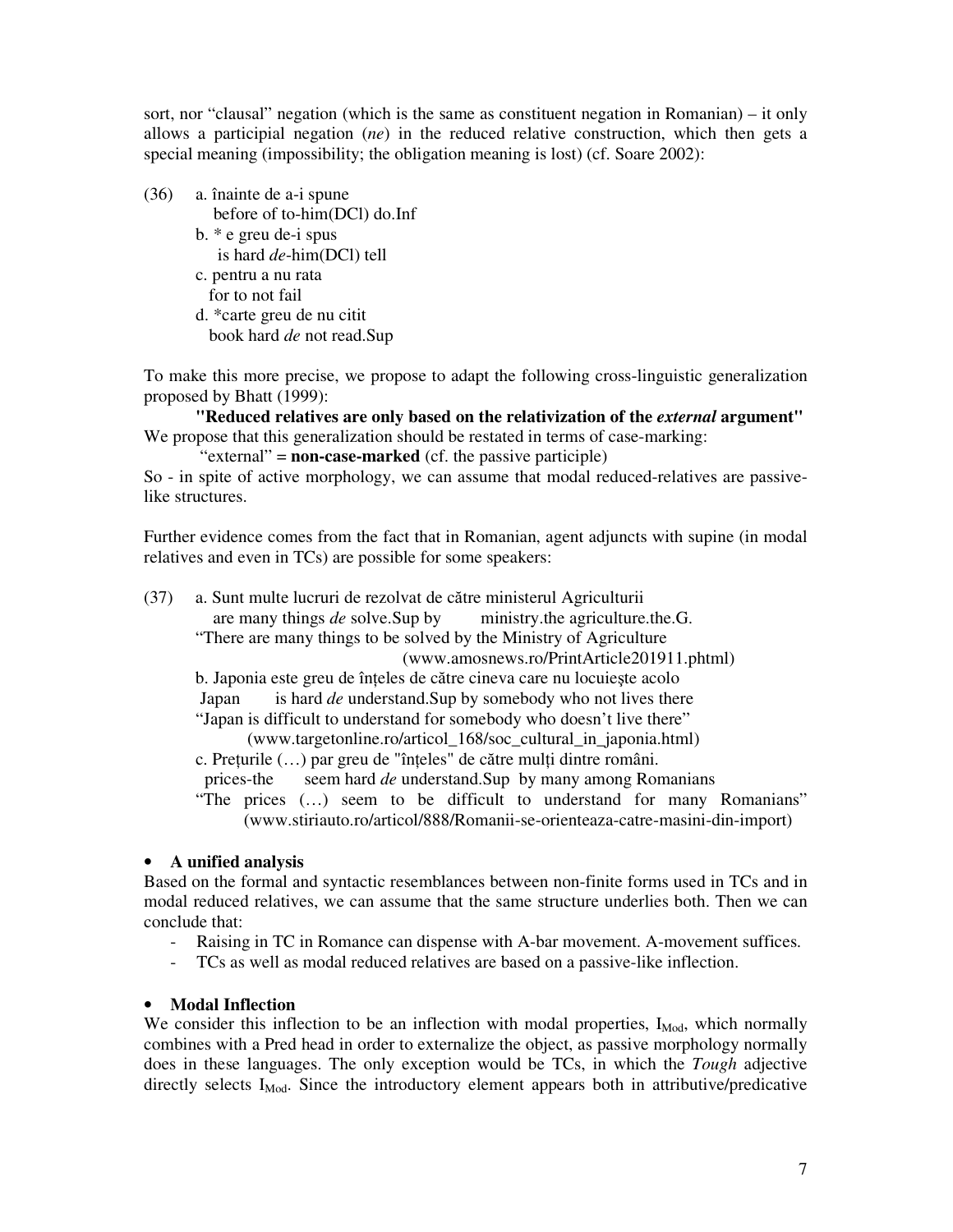sort, nor "clausal" negation (which is the same as constituent negation in Romanian) – it only allows a participial negation (*ne*) in the reduced relative construction, which then gets a special meaning (impossibility; the obligation meaning is lost) (cf. Soare 2002):

(36) a. înainte de a-i spune

before of to-him(DCl) do.Inf

- b. \* e greu de-i spus is hard *de*-him(DCl) tell
- c. pentru a nu rata for to not fail
- d. \*carte greu de nu citit book hard *de* not read.Sup

To make this more precise, we propose to adapt the following cross-linguistic generalization proposed by Bhatt (1999):

**"Reduced relatives are only based on the relativization of the** *external* **argument"**  We propose that this generalization should be restated in terms of case-marking:

"external" = **non-case-marked** (cf. the passive participle)

So - in spite of active morphology, we can assume that modal reduced-relatives are passivelike structures.

Further evidence comes from the fact that in Romanian, agent adjuncts with supine (in modal relatives and even in TCs) are possible for some speakers:

(37) a. Sunt multe lucruri de rezolvat de către ministerul Agriculturii are many things *de* solve.Sup by ministry.the agriculture.the.G. "There are many things to be solved by the Ministry of Agriculture (www.amosnews.ro/PrintArticle201911.phtml) b. Japonia este greu de înteles de către cineva care nu locuieste acolo Japan is hard *de* understand.Sup by somebody who not lives there "Japan is difficult to understand for somebody who doesn't live there" (www.targetonline.ro/articol\_168/soc\_cultural\_in\_japonia.html) c. Preţurile (…) par greu de "înţeles" de către mulţi dintre români. prices-the seem hard *de* understand.Sup by many among Romanians "The prices (…) seem to be difficult to understand for many Romanians" (www.stiriauto.ro/articol/888/Romanii-se-orienteaza-catre-masini-din-import)

# • **A unified analysis**

Based on the formal and syntactic resemblances between non-finite forms used in TCs and in modal reduced relatives, we can assume that the same structure underlies both. Then we can conclude that:

- Raising in TC in Romance can dispense with A-bar movement. A-movement suffices.
- TCs as well as modal reduced relatives are based on a passive-like inflection.

# • **Modal Inflection**

We consider this inflection to be an inflection with modal properties,  $I_{\text{Mod}}$ , which normally combines with a Pred head in order to externalize the object, as passive morphology normally does in these languages. The only exception would be TCs, in which the *Tough* adjective directly selects  $I_{\text{Mod}}$ . Since the introductory element appears both in attributive/predicative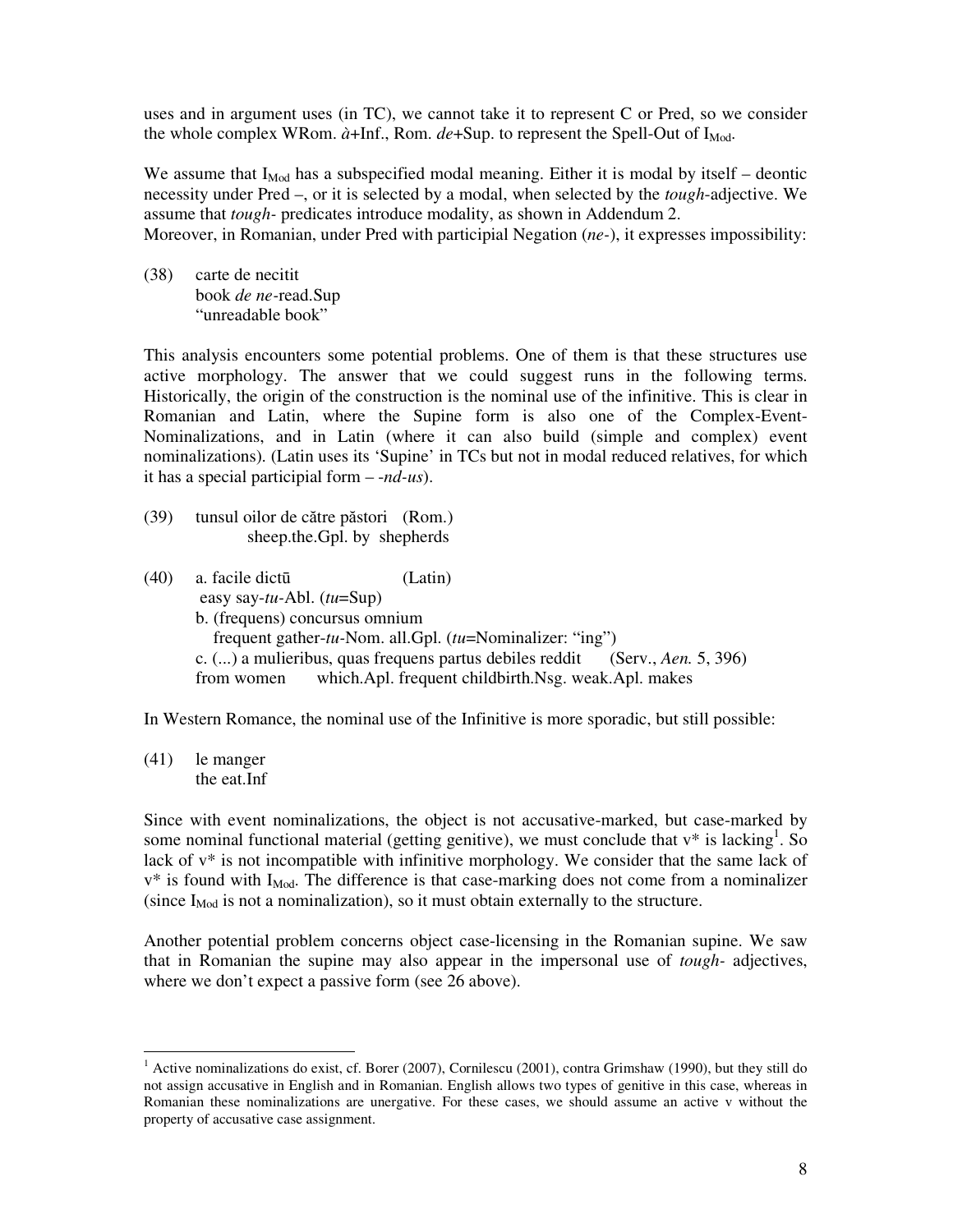uses and in argument uses (in TC), we cannot take it to represent C or Pred, so we consider the whole complex WRom.  $\dot{a}$ +Inf., Rom.  $de+Sup$ . to represent the Spell-Out of I<sub>Mod</sub>.

We assume that  $I_{\text{Mod}}$  has a subspecified modal meaning. Either it is modal by itself – deontic necessity under Pred –, or it is selected by a modal, when selected by the *tough*-adjective. We assume that *tough-* predicates introduce modality, as shown in Addendum 2. Moreover, in Romanian, under Pred with participial Negation (*ne-*), it expresses impossibility:

(38) carte de necitit book *de ne-*read.Sup "unreadable book"

This analysis encounters some potential problems. One of them is that these structures use active morphology. The answer that we could suggest runs in the following terms. Historically, the origin of the construction is the nominal use of the infinitive. This is clear in Romanian and Latin, where the Supine form is also one of the Complex-Event-Nominalizations, and in Latin (where it can also build (simple and complex) event nominalizations). (Latin uses its 'Supine' in TCs but not in modal reduced relatives, for which it has a special participial form – -*nd-us*).

- (39) tunsul oilor de către păstori (Rom.) sheep.the.Gpl. by shepherds
- (40) a. facile dictū (Latin) easy say-*tu-*Abl. (*tu*=Sup) b. (frequens) concursus omnium frequent gather-*tu-*Nom. all.Gpl. (*tu*=Nominalizer: "ing") c. (...) a mulieribus, quas frequens partus debiles reddit (Serv., *Aen.* 5, 396) from women which.Apl. frequent childbirth.Nsg. weak.Apl. makes

In Western Romance, the nominal use of the Infinitive is more sporadic, but still possible:

(41) le manger the eat.Inf

-

Since with event nominalizations, the object is not accusative-marked, but case-marked by some nominal functional material (getting genitive), we must conclude that  $v^*$  is lacking<sup>1</sup>. So lack of v\* is not incompatible with infinitive morphology. We consider that the same lack of  $v^*$  is found with  $I_{\text{Mod}}$ . The difference is that case-marking does not come from a nominalizer (since  $I_{\text{Mod}}$  is not a nominalization), so it must obtain externally to the structure.

Another potential problem concerns object case-licensing in the Romanian supine. We saw that in Romanian the supine may also appear in the impersonal use of *tough-* adjectives, where we don't expect a passive form (see 26 above).

 $1$  Active nominalizations do exist, cf. Borer (2007), Cornilescu (2001), contra Grimshaw (1990), but they still do not assign accusative in English and in Romanian. English allows two types of genitive in this case, whereas in Romanian these nominalizations are unergative. For these cases, we should assume an active v without the property of accusative case assignment.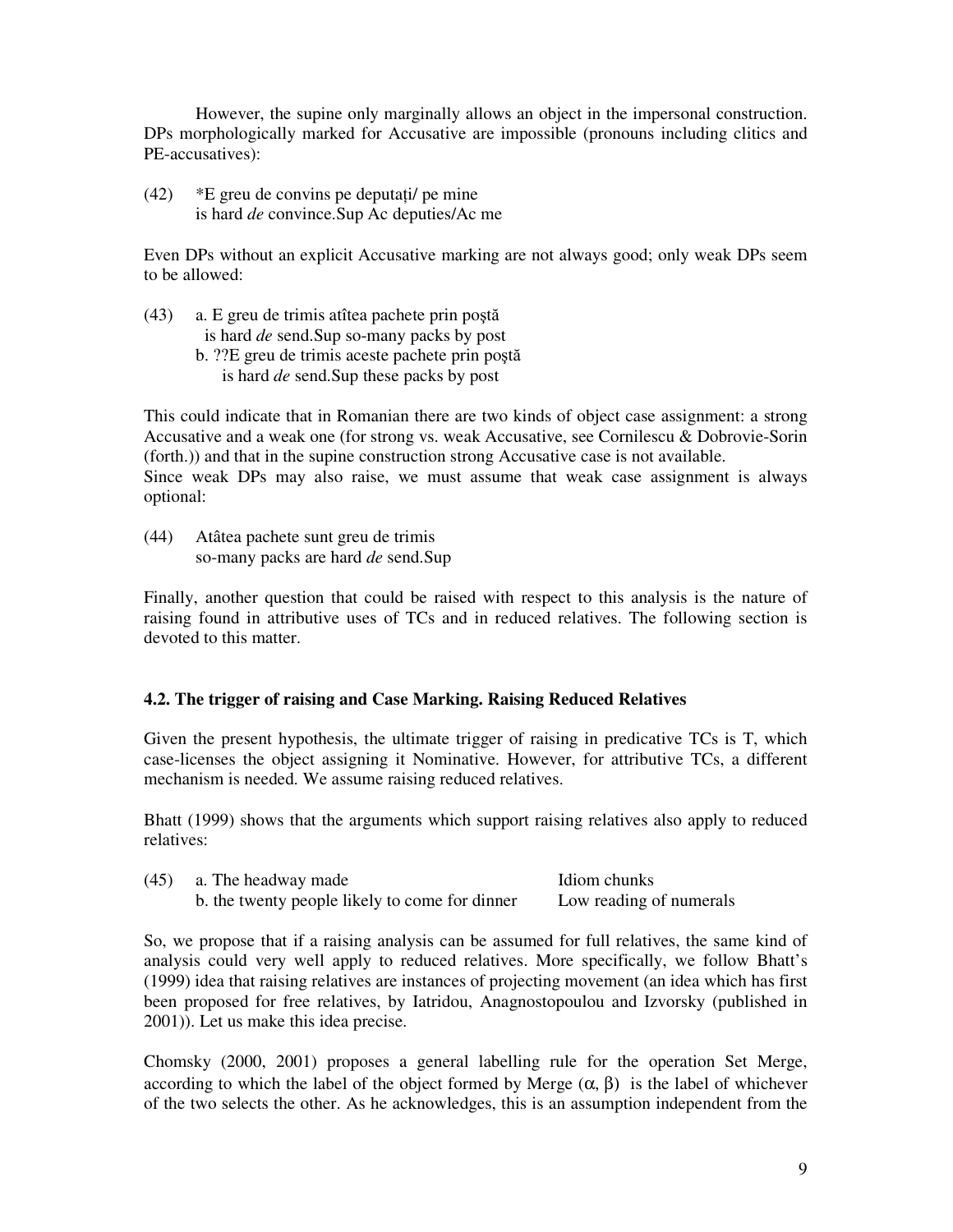However, the supine only marginally allows an object in the impersonal construction. DPs morphologically marked for Accusative are impossible (pronouns including clitics and PE-accusatives):

(42) \*E greu de convins pe deputaţi/ pe mine is hard *de* convince.Sup Ac deputies/Ac me

Even DPs without an explicit Accusative marking are not always good; only weak DPs seem to be allowed:

- (43) a. E greu de trimis atîtea pachete prin poştă is hard *de* send.Sup so-many packs by post
	- b. ??E greu de trimis aceste pachete prin poştă is hard *de* send.Sup these packs by post

This could indicate that in Romanian there are two kinds of object case assignment: a strong Accusative and a weak one (for strong vs. weak Accusative, see Cornilescu & Dobrovie-Sorin (forth.)) and that in the supine construction strong Accusative case is not available. Since weak DPs may also raise, we must assume that weak case assignment is always optional:

(44) Atâtea pachete sunt greu de trimis so-many packs are hard *de* send.Sup

Finally, another question that could be raised with respect to this analysis is the nature of raising found in attributive uses of TCs and in reduced relatives. The following section is devoted to this matter.

# **4.2. The trigger of raising and Case Marking. Raising Reduced Relatives**

Given the present hypothesis, the ultimate trigger of raising in predicative TCs is T, which case-licenses the object assigning it Nominative. However, for attributive TCs, a different mechanism is needed. We assume raising reduced relatives.

Bhatt (1999) shows that the arguments which support raising relatives also apply to reduced relatives:

| (45) | a. The headway made                            | Idiom chunks            |
|------|------------------------------------------------|-------------------------|
|      | b. the twenty people likely to come for dinner | Low reading of numerals |

So, we propose that if a raising analysis can be assumed for full relatives, the same kind of analysis could very well apply to reduced relatives. More specifically, we follow Bhatt's (1999) idea that raising relatives are instances of projecting movement (an idea which has first been proposed for free relatives, by Iatridou, Anagnostopoulou and Izvorsky (published in 2001)). Let us make this idea precise.

Chomsky (2000, 2001) proposes a general labelling rule for the operation Set Merge, according to which the label of the object formed by Merge  $(\alpha, \beta)$  is the label of whichever of the two selects the other. As he acknowledges, this is an assumption independent from the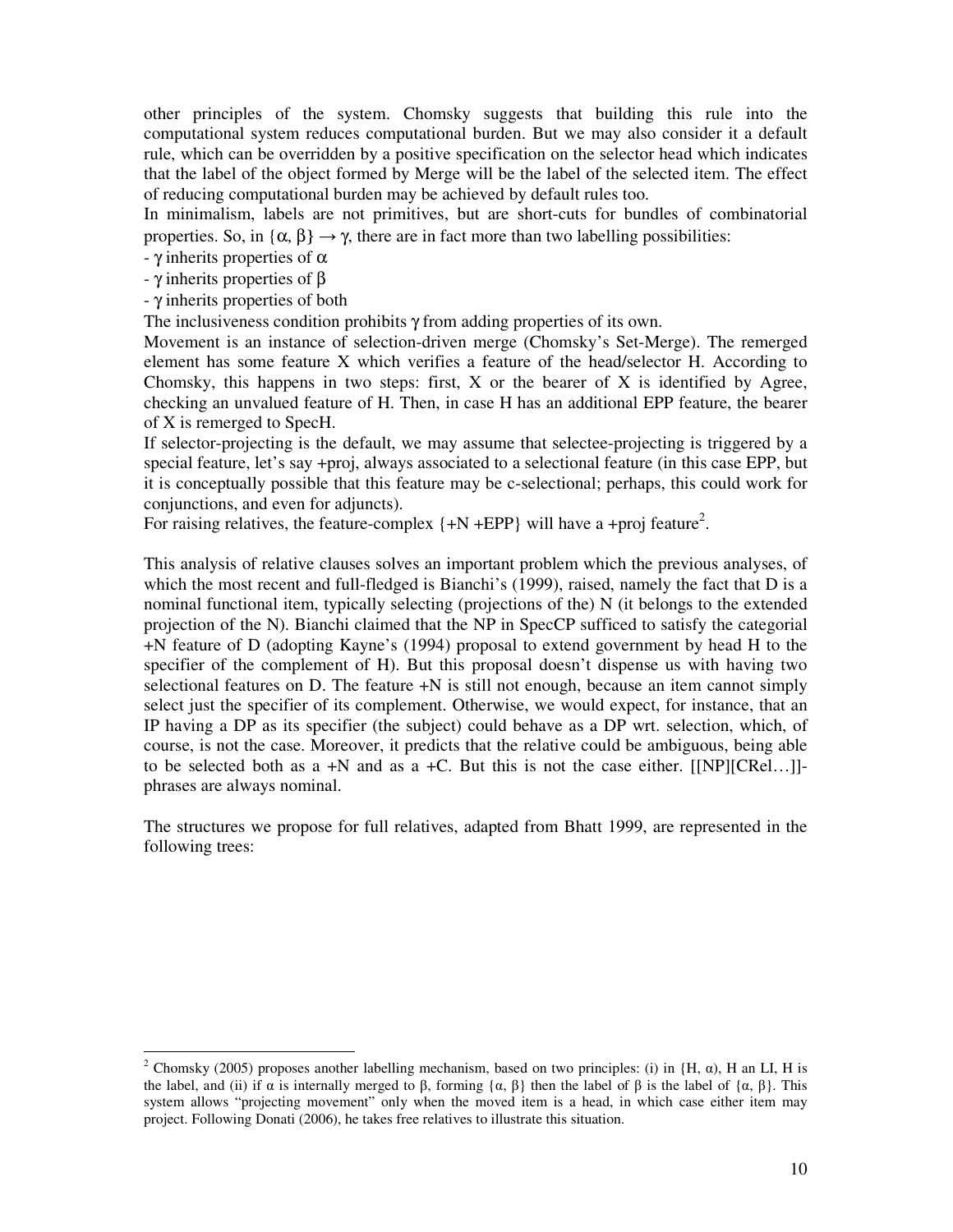other principles of the system. Chomsky suggests that building this rule into the computational system reduces computational burden. But we may also consider it a default rule, which can be overridden by a positive specification on the selector head which indicates that the label of the object formed by Merge will be the label of the selected item. The effect of reducing computational burden may be achieved by default rules too.

In minimalism, labels are not primitives, but are short-cuts for bundles of combinatorial properties. So, in  $\{\alpha, \beta\} \rightarrow \gamma$ , there are in fact more than two labelling possibilities:

- γ inherits properties of α

- γ inherits properties of β

-

- γ inherits properties of both

The inclusiveness condition prohibits γ from adding properties of its own.

Movement is an instance of selection-driven merge (Chomsky's Set-Merge). The remerged element has some feature X which verifies a feature of the head/selector H. According to Chomsky, this happens in two steps: first,  $X$  or the bearer of  $X$  is identified by Agree, checking an unvalued feature of H. Then, in case H has an additional EPP feature, the bearer of X is remerged to SpecH.

If selector-projecting is the default, we may assume that selectee-projecting is triggered by a special feature, let's say +proj, always associated to a selectional feature (in this case EPP, but it is conceptually possible that this feature may be c-selectional; perhaps, this could work for conjunctions, and even for adjuncts).

For raising relatives, the feature-complex  $\{+N + EPP\}$  will have a +proj feature<sup>2</sup>.

This analysis of relative clauses solves an important problem which the previous analyses, of which the most recent and full-fledged is Bianchi's (1999), raised, namely the fact that D is a nominal functional item, typically selecting (projections of the) N (it belongs to the extended projection of the N). Bianchi claimed that the NP in SpecCP sufficed to satisfy the categorial +N feature of D (adopting Kayne's (1994) proposal to extend government by head H to the specifier of the complement of H). But this proposal doesn't dispense us with having two selectional features on D. The feature +N is still not enough, because an item cannot simply select just the specifier of its complement. Otherwise, we would expect, for instance, that an IP having a DP as its specifier (the subject) could behave as a DP wrt. selection, which, of course, is not the case. Moreover, it predicts that the relative could be ambiguous, being able to be selected both as a  $+N$  and as a  $+C$ . But this is not the case either. [[NP][CRel...]]phrases are always nominal.

The structures we propose for full relatives, adapted from Bhatt 1999, are represented in the following trees:

<sup>&</sup>lt;sup>2</sup> Chomsky (2005) proposes another labelling mechanism, based on two principles: (i) in  $(H, \alpha)$ , H an LI, H is the label, and (ii) if  $\alpha$  is internally merged to β, forming  $\{\alpha, \beta\}$  then the label of β is the label of  $\{\alpha, \beta\}$ . This system allows "projecting movement" only when the moved item is a head, in which case either item may project. Following Donati (2006), he takes free relatives to illustrate this situation.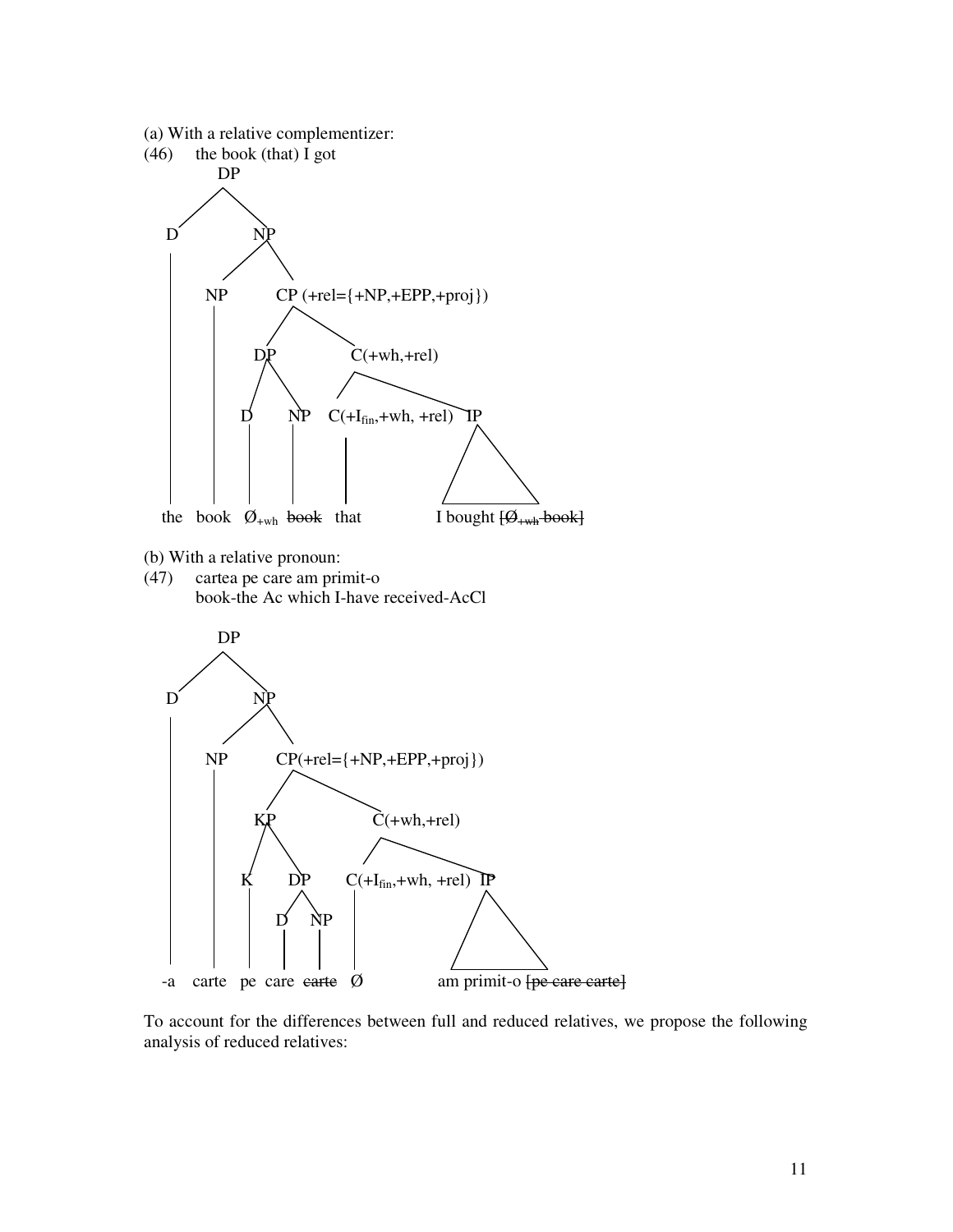

To account for the differences between full and reduced relatives, we propose the following analysis of reduced relatives: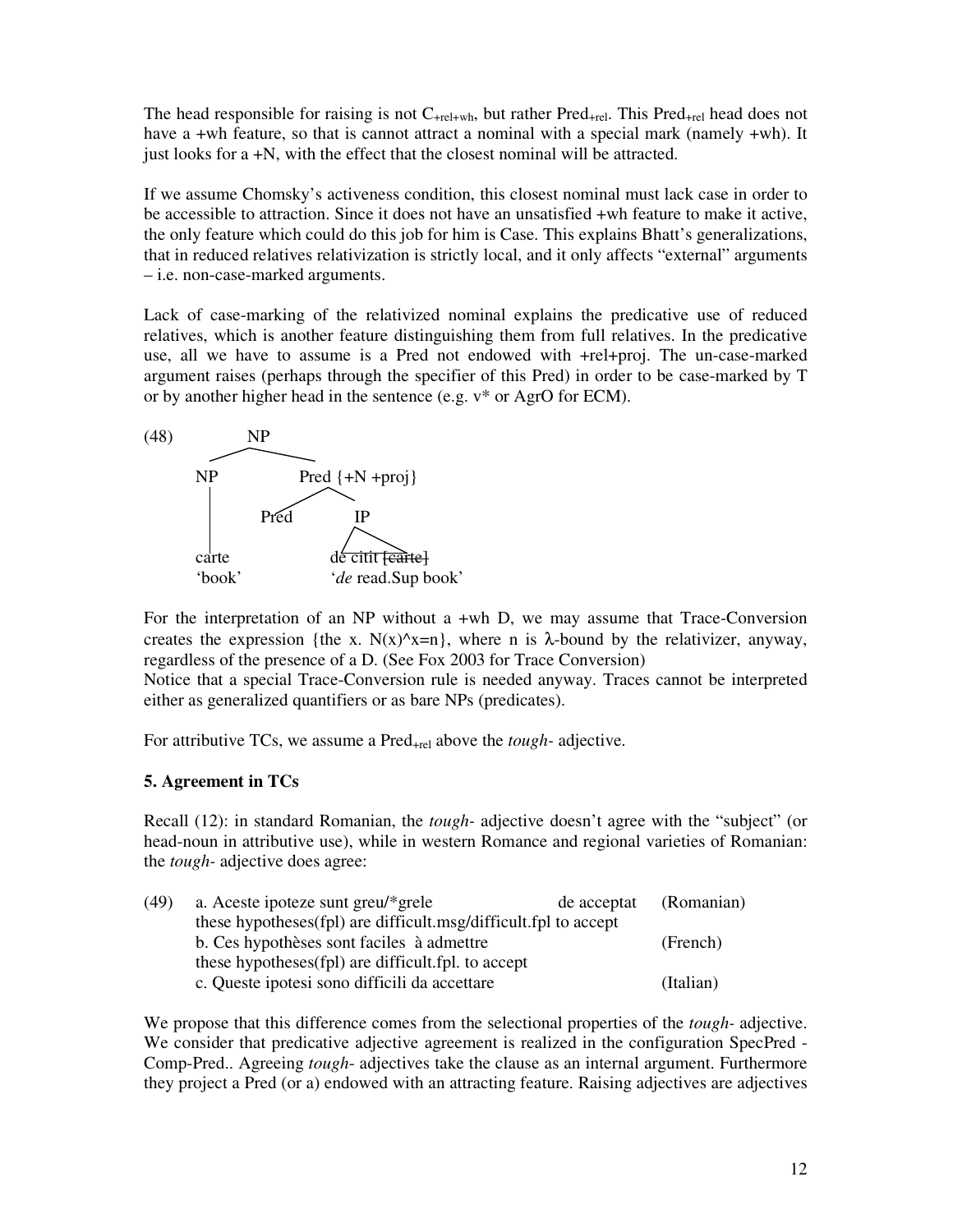The head responsible for raising is not  $C_{\text{+rel+wh}}$ , but rather  $\text{Pred}_{\text{+rel}}$ . This  $\text{Pred}_{\text{+rel}}$  head does not have a +wh feature, so that is cannot attract a nominal with a special mark (namely +wh). It just looks for a +N, with the effect that the closest nominal will be attracted.

If we assume Chomsky's activeness condition, this closest nominal must lack case in order to be accessible to attraction. Since it does not have an unsatisfied +wh feature to make it active, the only feature which could do this job for him is Case. This explains Bhatt's generalizations, that in reduced relatives relativization is strictly local, and it only affects "external" arguments – i.e. non-case-marked arguments.

Lack of case-marking of the relativized nominal explains the predicative use of reduced relatives, which is another feature distinguishing them from full relatives. In the predicative use, all we have to assume is a Pred not endowed with +rel+proj. The un-case-marked argument raises (perhaps through the specifier of this Pred) in order to be case-marked by T or by another higher head in the sentence (e.g. v\* or AgrO for ECM).



For the interpretation of an NP without a +wh D, we may assume that Trace-Conversion creates the expression {the x.  $N(x)^{x}=n$ }, where n is  $\lambda$ -bound by the relativizer, anyway, regardless of the presence of a D. (See Fox 2003 for Trace Conversion)

Notice that a special Trace-Conversion rule is needed anyway. Traces cannot be interpreted either as generalized quantifiers or as bare NPs (predicates).

For attributive TCs, we assume a Pred<sub>+rel</sub> above the *tough*-adjective.

# **5. Agreement in TCs**

Recall (12): in standard Romanian, the *tough-* adjective doesn't agree with the "subject" (or head-noun in attributive use), while in western Romance and regional varieties of Romanian: the *tough-* adjective does agree:

| a. Aceste ipoteze sunt greu/*grele                 | de acceptat | (Romanian)                                                      |
|----------------------------------------------------|-------------|-----------------------------------------------------------------|
|                                                    |             |                                                                 |
| b. Ces hypothèses sont faciles à admettre          |             | (French)                                                        |
| these hypotheses(fpl) are difficult.fpl. to accept |             |                                                                 |
| c. Queste ipotesi sono difficili da accettare      |             | (Italian)                                                       |
|                                                    |             | these hypotheses(fpl) are difficult.msg/difficult.fpl to accept |

We propose that this difference comes from the selectional properties of the *tough-* adjective. We consider that predicative adjective agreement is realized in the configuration SpecPred - Comp-Pred.. Agreeing *tough*- adjectives take the clause as an internal argument. Furthermore they project a Pred (or a) endowed with an attracting feature. Raising adjectives are adjectives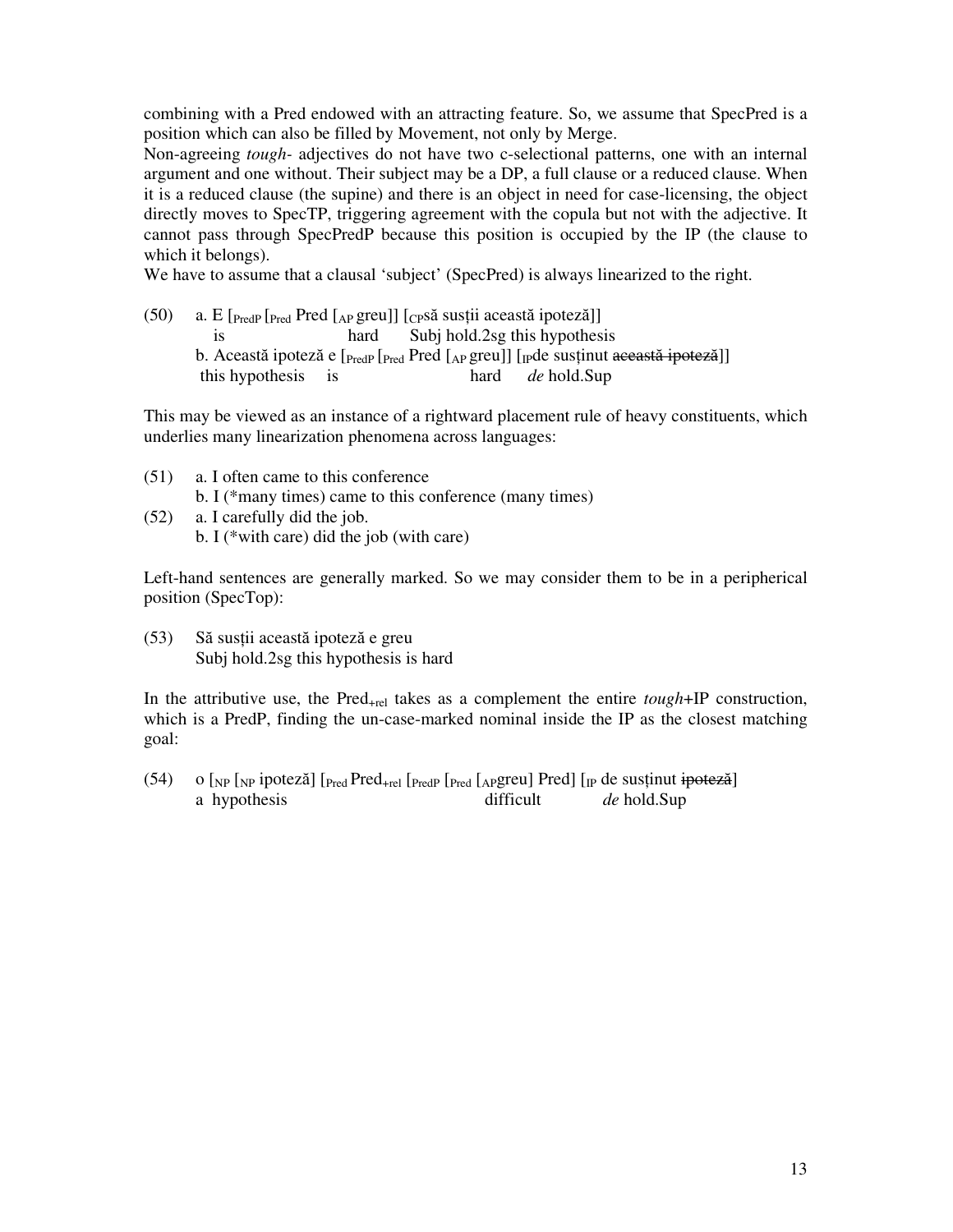combining with a Pred endowed with an attracting feature. So, we assume that SpecPred is a position which can also be filled by Movement, not only by Merge.

Non-agreeing *tough-* adjectives do not have two c-selectional patterns, one with an internal argument and one without. Their subject may be a DP, a full clause or a reduced clause. When it is a reduced clause (the supine) and there is an object in need for case-licensing, the object directly moves to SpecTP, triggering agreement with the copula but not with the adjective. It cannot pass through SpecPredP because this position is occupied by the IP (the clause to which it belongs).

We have to assume that a clausal 'subject' (SpecPred) is always linearized to the right.

(50) a. E  $[Pred]$   $Pred$   $[A$ <sup>p</sup> greu]]  $[CPS\tilde{a}$  susții această ipoteză]] is hard Subj hold.2sg this hypothesis b. Această ipoteză e [<sub>PredP</sub> [<sub>Pred</sub> Pred [<sub>AP</sub> greu]] [<sub>IP</sub>de susținut această ipoteză]] this hypothesis is hard *de* hold.Sup

This may be viewed as an instance of a rightward placement rule of heavy constituents, which underlies many linearization phenomena across languages:

- (51) a. I often came to this conference b. I (\*many times) came to this conference (many times) (52) a. I carefully did the job.
	- b. I (\*with care) did the job (with care)

Left-hand sentences are generally marked. So we may consider them to be in a peripherical position (SpecTop):

(53) Să susţii această ipoteză e greu Subj hold.2sg this hypothesis is hard

In the attributive use, the Pred<sub>+rel</sub> takes as a complement the entire *tough*+IP construction, which is a PredP, finding the un-case-marked nominal inside the IP as the closest matching goal:

(54) o  $\lceil N_P \rceil$  ipoteză]  $\lceil \frac{Pred_{+rel}}{\rceil Pred} \rceil$   $\lceil \frac{Pred}{Pred} \rceil$   $\lceil \frac{Pred}{Pred} \rceil$   $\lceil \frac{Pred}{Pred} \rceil$   $\lceil \frac{Pred}{Pred} \rceil$ a hypothesis difficult *de* hold.Sup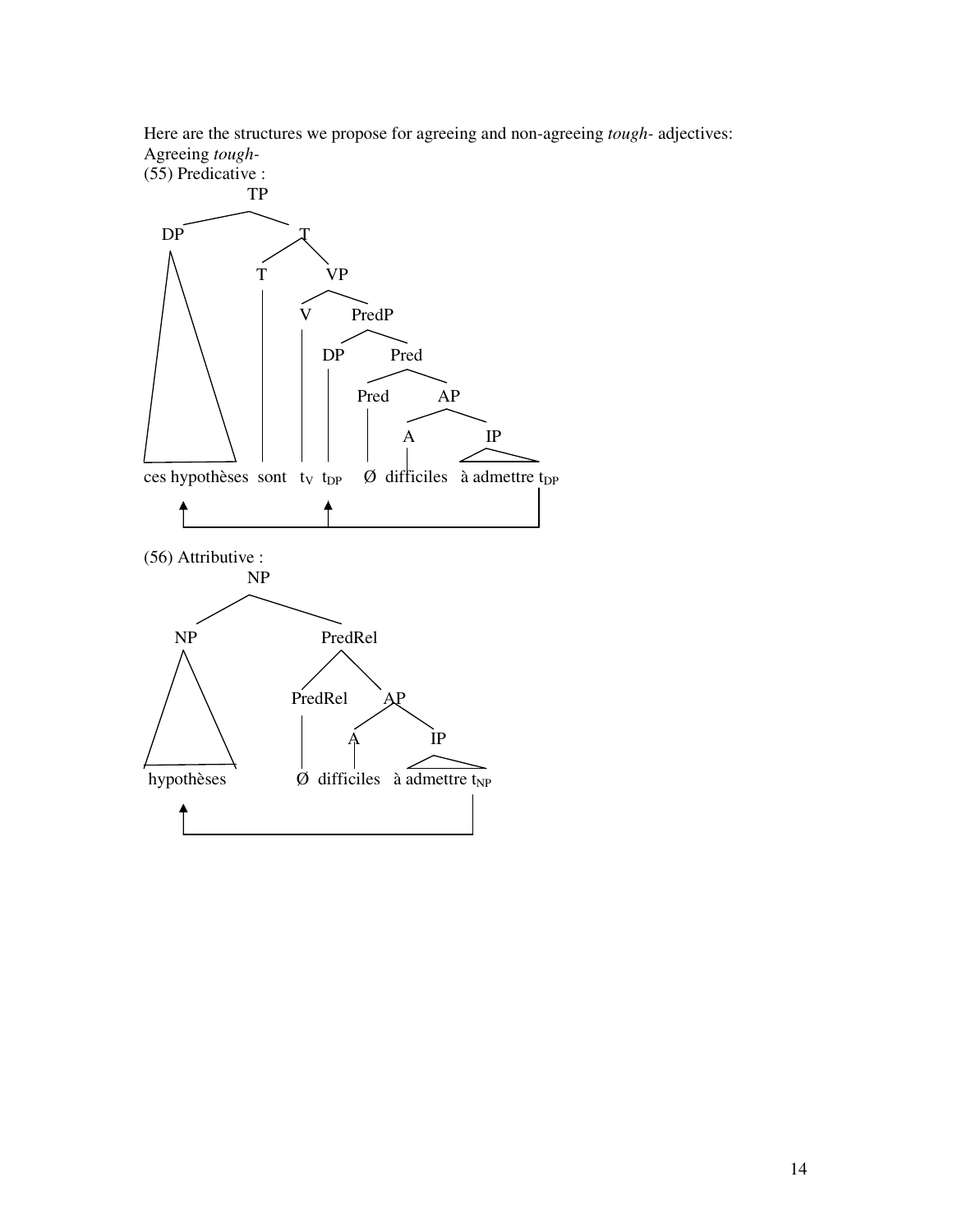Here are the structures we propose for agreeing and non-agreeing *tough-* adjectives: Agreeing *tough-*

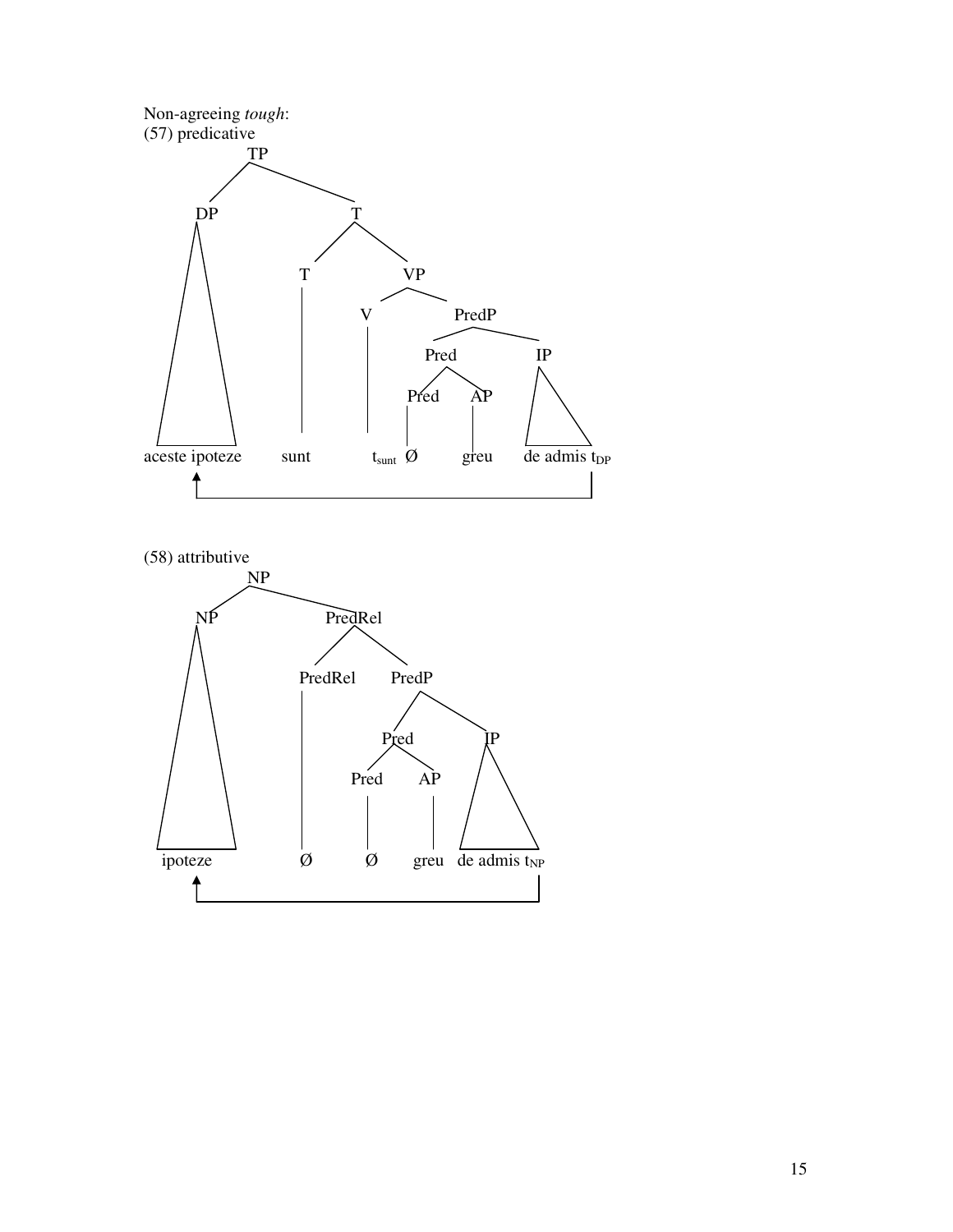



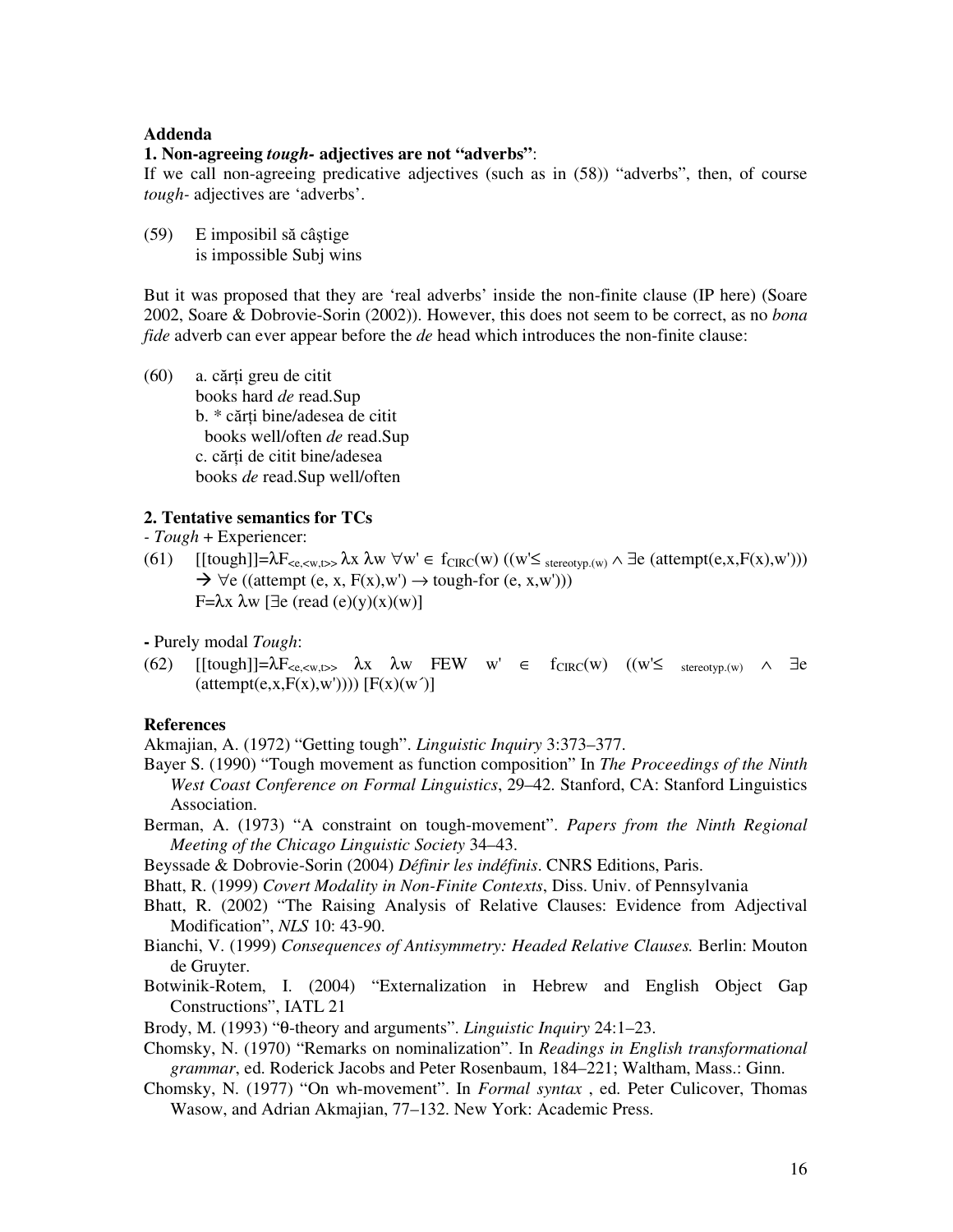#### **Addenda**

### **1. Non-agreeing** *tough-* **adjectives are not "adverbs"**:

If we call non-agreeing predicative adjectives (such as in (58)) "adverbs", then, of course *tough-* adjectives are 'adverbs'.

(59) E imposibil să câştige is impossible Subj wins

But it was proposed that they are 'real adverbs' inside the non-finite clause (IP here) (Soare 2002, Soare & Dobrovie-Sorin (2002)). However, this does not seem to be correct, as no *bona fide* adverb can ever appear before the *de* head which introduces the non-finite clause:

(60) a. cărţi greu de citit books hard *de* read.Sup b. \* cărţi bine/adesea de citit books well/often *de* read.Sup c. cărti de citit bine/adesea books *de* read.Sup well/often

### **2. Tentative semantics for TCs**

*- Tough* + Experiencer:

(61)  $[[tough]]=\lambda F_{\leq e,\leq w, t>} \lambda x \lambda w \forall w' \in f_{CIRC}(w) ((w' \leq \text{stereotype}, (w) \land \exists e (\text{attempt}(e,x,F(x),w')))$  $\rightarrow \forall e$  ((attempt (e, x, F(x),w')  $\rightarrow$  tough-for (e, x,w'))) F=λx λw [ $\exists$ e (read (e)(y)(x)(w)]

**-** Purely modal *Tough*:

(62)  $[[tough]]=\lambda F_{\leq e,\leq w, t>> }\lambda x \lambda w FEW w' \in f_{CIRC}(w) ((w'\leq \text{stereotyp.(w)} \wedge \exists e$  $(\text{attempt}(e, x, F(x), w')))(F(x)(w'))$ 

#### **References**

Akmajian, A. (1972) "Getting tough". *Linguistic Inquiry* 3:373–377.

- Bayer S. (1990) "Tough movement as function composition" In *The Proceedings of the Ninth West Coast Conference on Formal Linguistics*, 29–42. Stanford, CA: Stanford Linguistics Association.
- Berman, A. (1973) "A constraint on tough-movement". *Papers from the Ninth Regional Meeting of the Chicago Linguistic Society* 34–43.
- Beyssade & Dobrovie-Sorin (2004) *Définir les indéfinis*. CNRS Editions, Paris.
- Bhatt, R. (1999) *Covert Modality in Non-Finite Contexts*, Diss. Univ. of Pennsylvania
- Bhatt, R. (2002) "The Raising Analysis of Relative Clauses: Evidence from Adjectival Modification", *NLS* 10: 43-90.
- Bianchi, V. (1999) *Consequences of Antisymmetry: Headed Relative Clauses.* Berlin: Mouton de Gruyter.
- Botwinik-Rotem, I. (2004) "Externalization in Hebrew and English Object Gap Constructions", IATL 21
- Brody, M. (1993) "θ-theory and arguments". *Linguistic Inquiry* 24:1–23.
- Chomsky, N. (1970) "Remarks on nominalization". In *Readings in English transformational grammar*, ed. Roderick Jacobs and Peter Rosenbaum, 184–221; Waltham, Mass.: Ginn.
- Chomsky, N. (1977) "On wh-movement". In *Formal syntax* , ed. Peter Culicover, Thomas Wasow, and Adrian Akmajian, 77–132. New York: Academic Press.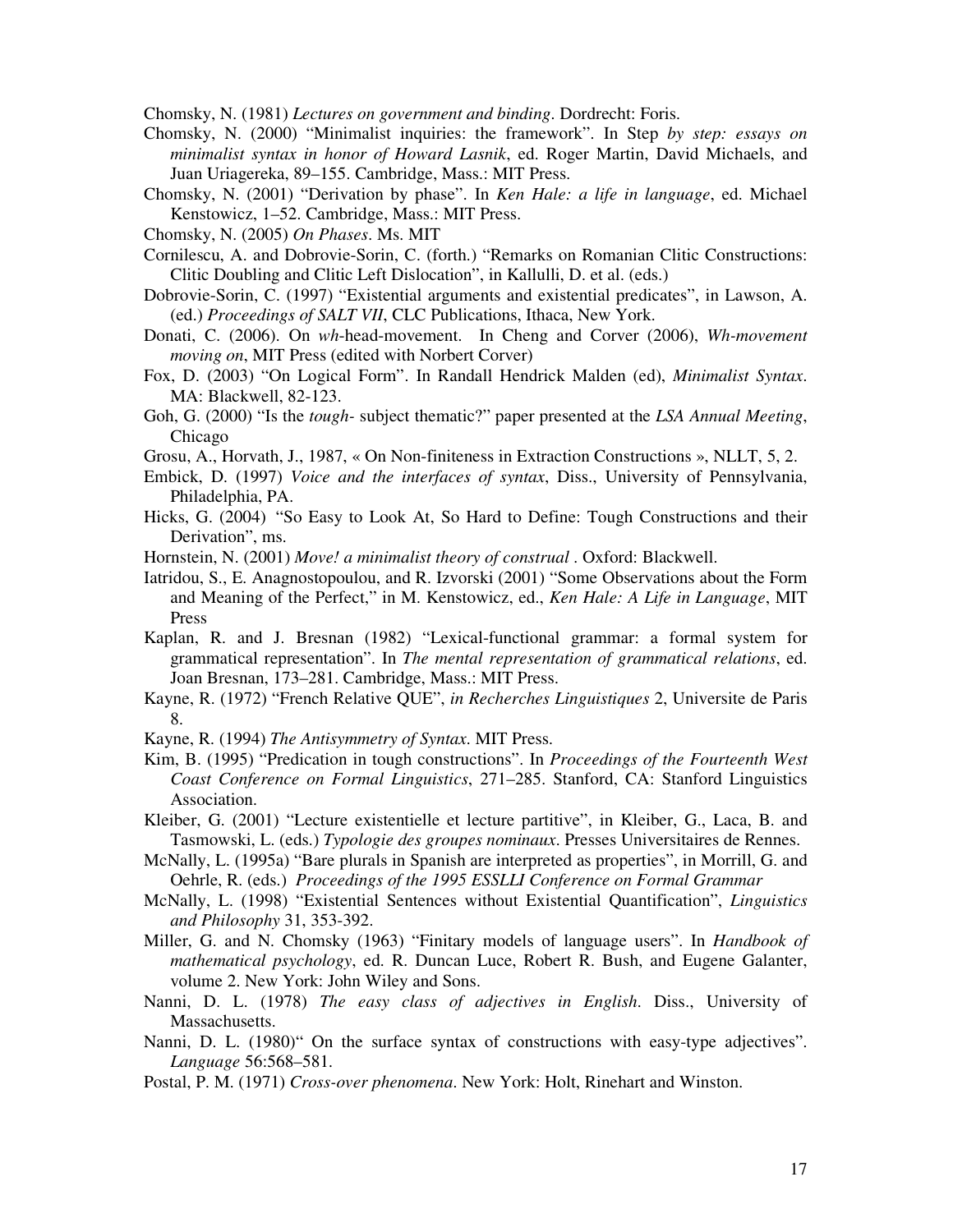Chomsky, N. (1981) *Lectures on government and binding*. Dordrecht: Foris.

- Chomsky, N. (2000) "Minimalist inquiries: the framework". In Step *by step: essays on minimalist syntax in honor of Howard Lasnik*, ed. Roger Martin, David Michaels, and Juan Uriagereka, 89–155. Cambridge, Mass.: MIT Press.
- Chomsky, N. (2001) "Derivation by phase". In *Ken Hale: a life in language*, ed. Michael Kenstowicz, 1–52. Cambridge, Mass.: MIT Press.
- Chomsky, N. (2005) *On Phases*. Ms. MIT
- Cornilescu, A. and Dobrovie-Sorin, C. (forth.) "Remarks on Romanian Clitic Constructions: Clitic Doubling and Clitic Left Dislocation", in Kallulli, D. et al. (eds.)
- Dobrovie-Sorin, C. (1997) "Existential arguments and existential predicates", in Lawson, A. (ed.) *Proceedings of SALT VII*, CLC Publications, Ithaca, New York.
- Donati, C. (2006). On *wh*-head-movement. In Cheng and Corver (2006), *Wh-movement moving on*, MIT Press (edited with Norbert Corver)
- Fox, D. (2003) "On Logical Form". In Randall Hendrick Malden (ed), *Minimalist Syntax*. MA: Blackwell, 82-123.
- Goh, G. (2000) "Is the *tough-* subject thematic?" paper presented at the *LSA Annual Meeting*, Chicago
- Grosu, A., Horvath, J., 1987, « On Non-finiteness in Extraction Constructions », NLLT, 5, 2.
- Embick, D. (1997) *Voice and the interfaces of syntax*, Diss., University of Pennsylvania, Philadelphia, PA.
- Hicks, G. (2004) "So Easy to Look At, So Hard to Define: Tough Constructions and their Derivation", ms.
- Hornstein, N. (2001) *Move! a minimalist theory of construal* . Oxford: Blackwell.
- Iatridou, S., E. Anagnostopoulou, and R. Izvorski (2001) "Some Observations about the Form and Meaning of the Perfect," in M. Kenstowicz, ed., *Ken Hale: A Life in Language*, MIT Press
- Kaplan, R. and J. Bresnan (1982) "Lexical-functional grammar: a formal system for grammatical representation". In *The mental representation of grammatical relations*, ed. Joan Bresnan, 173–281. Cambridge, Mass.: MIT Press.
- Kayne, R. (1972) "French Relative QUE", *in Recherches Linguistiques* 2, Universite de Paris 8.
- Kayne, R. (1994) *The Antisymmetry of Syntax*. MIT Press.
- Kim, B. (1995) "Predication in tough constructions". In *Proceedings of the Fourteenth West Coast Conference on Formal Linguistics*, 271–285. Stanford, CA: Stanford Linguistics Association.
- Kleiber, G. (2001) "Lecture existentielle et lecture partitive", in Kleiber, G., Laca, B. and Tasmowski, L. (eds.) *Typologie des groupes nominaux*. Presses Universitaires de Rennes.
- McNally, L. (1995a) "Bare plurals in Spanish are interpreted as properties", in Morrill, G. and Oehrle, R. (eds.) *Proceedings of the 1995 ESSLLI Conference on Formal Grammar*
- McNally, L. (1998) "Existential Sentences without Existential Quantification", *Linguistics and Philosophy* 31, 353-392.
- Miller, G. and N. Chomsky (1963) "Finitary models of language users". In *Handbook of mathematical psychology*, ed. R. Duncan Luce, Robert R. Bush, and Eugene Galanter, volume 2. New York: John Wiley and Sons.
- Nanni, D. L. (1978) *The easy class of adjectives in English*. Diss., University of Massachusetts.
- Nanni, D. L. (1980)" On the surface syntax of constructions with easy-type adjectives". *Language* 56:568–581.
- Postal, P. M. (1971) *Cross-over phenomena*. New York: Holt, Rinehart and Winston.